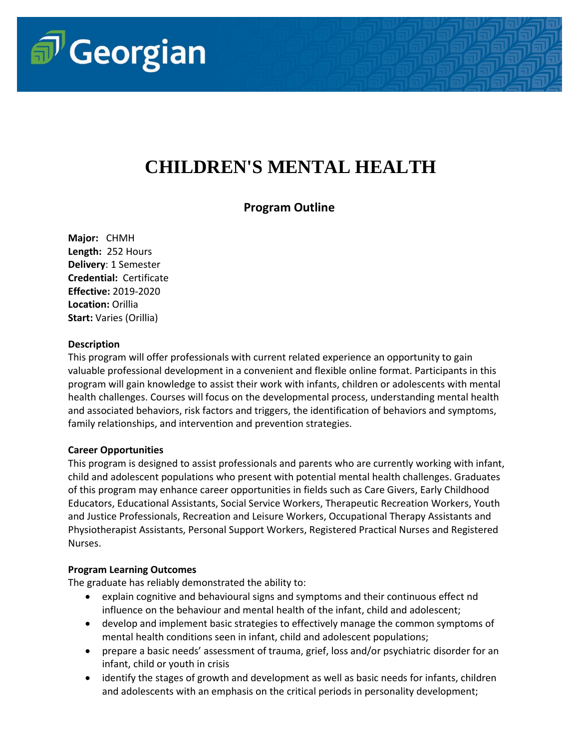

# **CHILDREN'S MENTAL HEALTH**

## **Program Outline**

**Major:** CHMH **Length:** 252 Hours **Delivery**: 1 Semester **Credential:** Certificate **Effective:** 2019-2020 **Location:** Orillia **Start:** Varies (Orillia)

#### **Description**

This program will offer professionals with current related experience an opportunity to gain valuable professional development in a convenient and flexible online format. Participants in this program will gain knowledge to assist their work with infants, children or adolescents with mental health challenges. Courses will focus on the developmental process, understanding mental health and associated behaviors, risk factors and triggers, the identification of behaviors and symptoms, family relationships, and intervention and prevention strategies.

#### **Career Opportunities**

This program is designed to assist professionals and parents who are currently working with infant, child and adolescent populations who present with potential mental health challenges. Graduates of this program may enhance career opportunities in fields such as Care Givers, Early Childhood Educators, Educational Assistants, Social Service Workers, Therapeutic Recreation Workers, Youth and Justice Professionals, Recreation and Leisure Workers, Occupational Therapy Assistants and Physiotherapist Assistants, Personal Support Workers, Registered Practical Nurses and Registered Nurses.

#### **Program Learning Outcomes**

The graduate has reliably demonstrated the ability to:

- explain cognitive and behavioural signs and symptoms and their continuous effect nd influence on the behaviour and mental health of the infant, child and adolescent;
- develop and implement basic strategies to effectively manage the common symptoms of mental health conditions seen in infant, child and adolescent populations;
- prepare a basic needs' assessment of trauma, grief, loss and/or psychiatric disorder for an infant, child or youth in crisis
- identify the stages of growth and development as well as basic needs for infants, children and adolescents with an emphasis on the critical periods in personality development;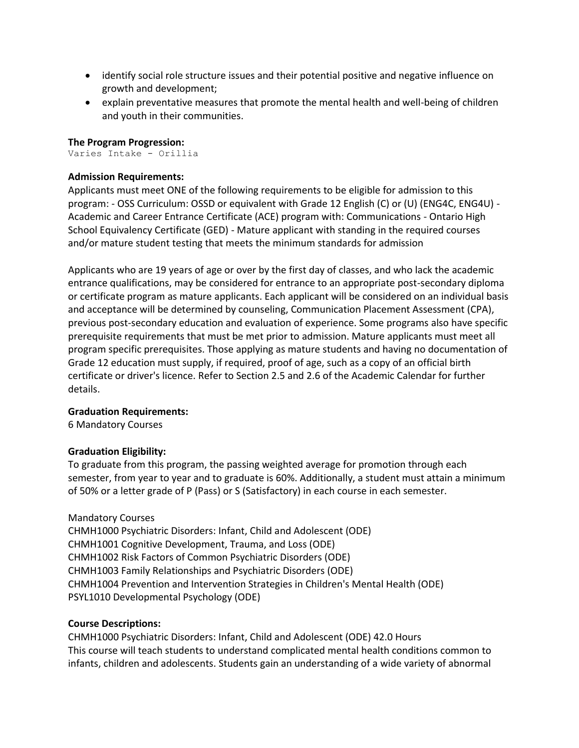- identify social role structure issues and their potential positive and negative influence on growth and development;
- explain preventative measures that promote the mental health and well-being of children and youth in their communities.

#### **The Program Progression:**

Varies Intake - Orillia

#### **Admission Requirements:**

Applicants must meet ONE of the following requirements to be eligible for admission to this program: - OSS Curriculum: OSSD or equivalent with Grade 12 English (C) or (U) (ENG4C, ENG4U) - Academic and Career Entrance Certificate (ACE) program with: Communications - Ontario High School Equivalency Certificate (GED) - Mature applicant with standing in the required courses and/or mature student testing that meets the minimum standards for admission

Applicants who are 19 years of age or over by the first day of classes, and who lack the academic entrance qualifications, may be considered for entrance to an appropriate post-secondary diploma or certificate program as mature applicants. Each applicant will be considered on an individual basis and acceptance will be determined by counseling, Communication Placement Assessment (CPA), previous post-secondary education and evaluation of experience. Some programs also have specific prerequisite requirements that must be met prior to admission. Mature applicants must meet all program specific prerequisites. Those applying as mature students and having no documentation of Grade 12 education must supply, if required, proof of age, such as a copy of an official birth certificate or driver's licence. Refer to Section 2.5 and 2.6 of the Academic Calendar for further details.

#### **Graduation Requirements:**

6 Mandatory Courses

#### **Graduation Eligibility:**

To graduate from this program, the passing weighted average for promotion through each semester, from year to year and to graduate is 60%. Additionally, a student must attain a minimum of 50% or a letter grade of P (Pass) or S (Satisfactory) in each course in each semester.

#### Mandatory Courses

CHMH1000 Psychiatric Disorders: Infant, Child and Adolescent (ODE) CHMH1001 Cognitive Development, Trauma, and Loss (ODE) CHMH1002 Risk Factors of Common Psychiatric Disorders (ODE) CHMH1003 Family Relationships and Psychiatric Disorders (ODE) CHMH1004 Prevention and Intervention Strategies in Children's Mental Health (ODE) PSYL1010 Developmental Psychology (ODE)

#### **Course Descriptions:**

CHMH1000 Psychiatric Disorders: Infant, Child and Adolescent (ODE) 42.0 Hours This course will teach students to understand complicated mental health conditions common to infants, children and adolescents. Students gain an understanding of a wide variety of abnormal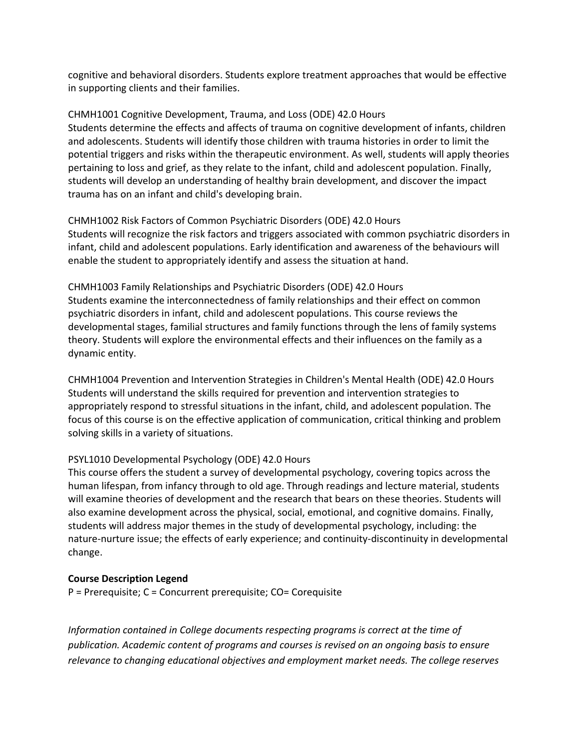cognitive and behavioral disorders. Students explore treatment approaches that would be effective in supporting clients and their families.

CHMH1001 Cognitive Development, Trauma, and Loss (ODE) 42.0 Hours Students determine the effects and affects of trauma on cognitive development of infants, children and adolescents. Students will identify those children with trauma histories in order to limit the potential triggers and risks within the therapeutic environment. As well, students will apply theories pertaining to loss and grief, as they relate to the infant, child and adolescent population. Finally, students will develop an understanding of healthy brain development, and discover the impact trauma has on an infant and child's developing brain.

CHMH1002 Risk Factors of Common Psychiatric Disorders (ODE) 42.0 Hours Students will recognize the risk factors and triggers associated with common psychiatric disorders in infant, child and adolescent populations. Early identification and awareness of the behaviours will enable the student to appropriately identify and assess the situation at hand.

CHMH1003 Family Relationships and Psychiatric Disorders (ODE) 42.0 Hours Students examine the interconnectedness of family relationships and their effect on common psychiatric disorders in infant, child and adolescent populations. This course reviews the developmental stages, familial structures and family functions through the lens of family systems theory. Students will explore the environmental effects and their influences on the family as a dynamic entity.

CHMH1004 Prevention and Intervention Strategies in Children's Mental Health (ODE) 42.0 Hours Students will understand the skills required for prevention and intervention strategies to appropriately respond to stressful situations in the infant, child, and adolescent population. The focus of this course is on the effective application of communication, critical thinking and problem solving skills in a variety of situations.

### PSYL1010 Developmental Psychology (ODE) 42.0 Hours

This course offers the student a survey of developmental psychology, covering topics across the human lifespan, from infancy through to old age. Through readings and lecture material, students will examine theories of development and the research that bears on these theories. Students will also examine development across the physical, social, emotional, and cognitive domains. Finally, students will address major themes in the study of developmental psychology, including: the nature-nurture issue; the effects of early experience; and continuity-discontinuity in developmental change.

#### **Course Description Legend**

P = Prerequisite; C = Concurrent prerequisite; CO= Corequisite

*Information contained in College documents respecting programs is correct at the time of publication. Academic content of programs and courses is revised on an ongoing basis to ensure relevance to changing educational objectives and employment market needs. The college reserves*